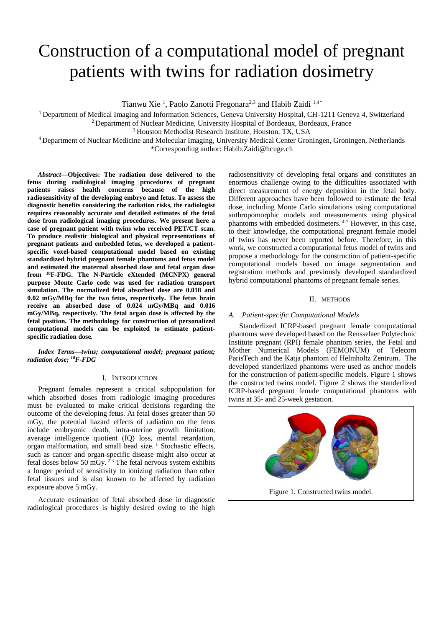# Construction of a computational model of pregnant patients with twins for radiation dosimetry

Tianwu Xie<sup>1</sup>, Paolo Zanotti Fregonara<sup>2,3</sup> and Habib Zaidi<sup>1,4\*</sup>

<sup>1</sup> Department of Medical Imaging and Information Sciences, Geneva University Hospital, CH-1211 Geneva 4, Switzerland

<sup>2</sup> Department of Nuclear Medicine, University Hospital of Bordeaux, Bordeaux, France

<sup>3</sup> Houston Methodist Research Institute, Houston, TX, USA

<sup>4</sup> Department of Nuclear Medicine and Molecular Imaging, University Medical Center Groningen, Groningen, Netherlands

\*Corresponding author: Habib.Zaidi@hcuge.ch

*Abstract***—Objectives: The radiation dose delivered to the fetus during radiological imaging procedures of pregnant patients raises health concerns because of the high radiosensitivity of the developing embryo and fetus. To assess the diagnostic benefits considering the radiation risks, the radiologist requires reasonably accurate and detailed estimates of the fetal dose from radiological imaging procedures. We present here a case of pregnant patient with twins who received PET/CT scan. To produce realistic biological and physical representations of pregnant patients and embedded fetus, we developed a patientspecific voxel-based computational model based on existing standardized hybrid pregnant female phantoms and fetus model and estimated the maternal absorbed dose and fetal organ dose from <sup>18</sup>F-FDG. The N-Particle eXtended (MCNPX) general purpose Monte Carlo code was used for radiation transport simulation. The normalized fetal absorbed dose are 0.018 and 0.02 mGy/MBq for the two fetus, respectively. The fetus brain receive an absorbed dose of 0.024 mGy/MBq and 0.016 mGy/MBq, respectively. The fetal organ dose is affected by the fetal position. The methodology for construction of personalized computational models can be exploited to estimate patientspecific radiation dose.**

*Index Terms—twins; computational model; pregnant patient; radiation dose; <sup>18</sup>F-FDG*

### I. INTRODUCTION

Pregnant females represent a critical subpopulation for which absorbed doses from radiologic imaging procedures must be evaluated to make critical decisions regarding the outcome of the developing fetus. At fetal doses greater than 50 mGy, the potential hazard effects of radiation on the fetus include embryonic death, intra-uterine growth limitation, average intelligence quotient (IQ) loss, mental retardation, organ malformation, and small head size.<sup>1</sup> Stochastic effects, such as cancer and organ-specific disease might also occur at fetal doses below 50 mGy.  $2,3$  The fetal nervous system exhibits a longer period of sensitivity to ionizing radiation than other fetal tissues and is also known to be affected by radiation exposure above 5 mGy.

Accurate estimation of fetal absorbed dose in diagnostic radiological procedures is highly desired owing to the high

radiosensitivity of developing fetal organs and constitutes an enormous challenge owing to the difficulties associated with direct measurement of energy deposition in the fetal body. Different approaches have been followed to estimate the fetal dose, including Monte Carlo simulations using computational anthropomorphic models and measurements using physical phantoms with embedded dosimeters. 4-7 However, in this case, to their knowledge, the computational pregnant female model of twins has never been reported before. Therefore, in this work, we constructed a computational fetus model of twins and propose a methodology for the construction of patient-specific computational models based on image segmentation and registration methods and previously developed standardized hybrid computational phantoms of pregnant female series.

## II. METHODS

## *A. Patient-specific Computational Models*

Standerlized ICRP-based pregnant female computational phantoms were developed based on the Rensselaer Polytechnic Institute pregnant (RPI) female phantom series, the Fetal and Mother Numerical Models (FEMONUM) of Telecom ParisTech and the Katja phantom of Helmholtz Zentrum. The developed standerlized phantoms were used as anchor models for the construction of patient-specific models. Figure 1 shows the constructed twins model. Figure 2 shows the standerlized ICRP-based pregnant female computational phantoms with twins at 35- and 25-week gestation.